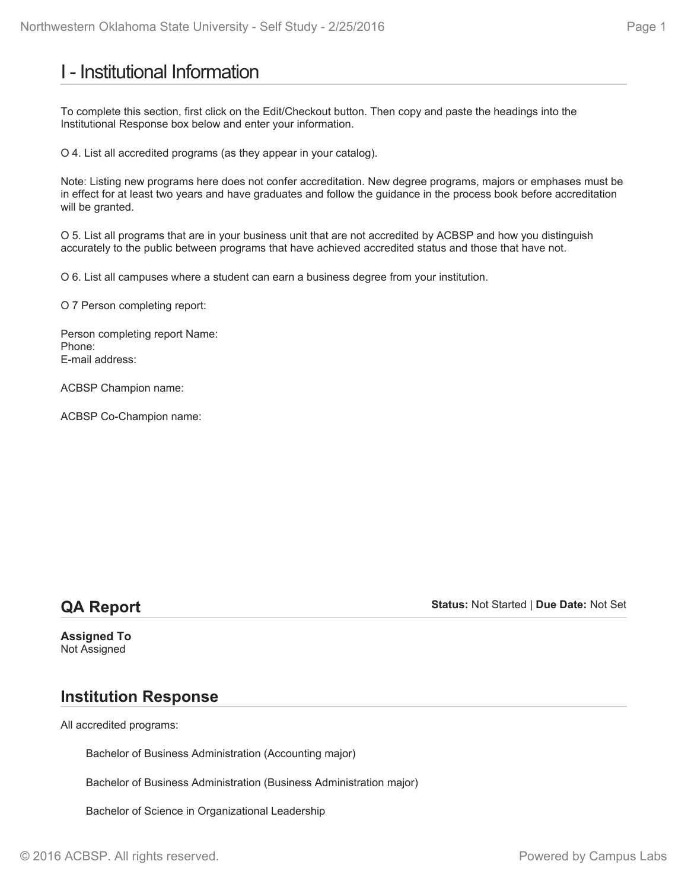## I - Institutional Information

To complete this section, first click on the Edit/Checkout button. Then copy and paste the headings into the Institutional Response box below and enter your information.

O 4. List all accredited programs (as they appear in your catalog).

Note: Listing new programs here does not confer accreditation. New degree programs, majors or emphases must be in effect for at least two years and have graduates and follow the guidance in the process book before accreditation will be granted.

O 5. List all programs that are in your business unit that are not accredited by ACBSP and how you distinguish accurately to the public between programs that have achieved accredited status and those that have not.

O 6. List all campuses where a student can earn a business degree from your institution.

O 7 Person completing report:

Person completing report Name: Phone: E-mail address:

ACBSP Champion name:

ACBSP Co-Champion name:

## **QA Report**

**Status:** Not Started | **Due Date:** Not Set

**Assigned To** Not Assigned

## **Institution Response**

All accredited programs:

Bachelor of Business Administration (Accounting major)

Bachelor of Business Administration (Business Administration major)

Bachelor of Science in Organizational Leadership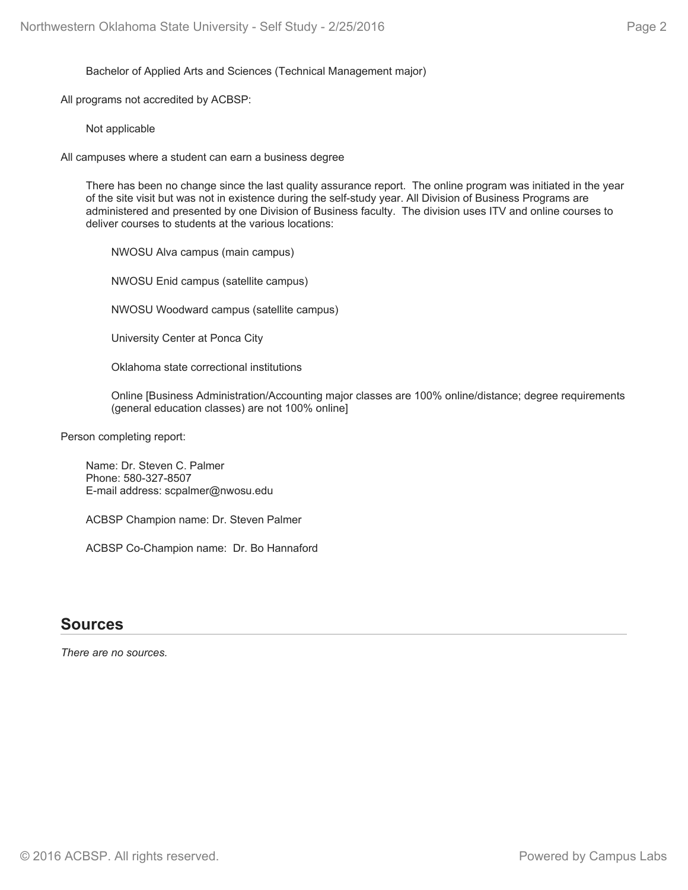Bachelor of Applied Arts and Sciences (Technical Management major)

All programs not accredited by ACBSP:

Not applicable

All campuses where a student can earn a business degree

There has been no change since the last quality assurance report. The online program was initiated in the year of the site visit but was not in existence during the self-study year. All Division of Business Programs are administered and presented by one Division of Business faculty. The division uses ITV and online courses to deliver courses to students at the various locations:

NWOSU Alva campus (main campus)

NWOSU Enid campus (satellite campus)

NWOSU Woodward campus (satellite campus)

University Center at Ponca City

Oklahoma state correctional institutions

Online [Business Administration/Accounting major classes are 100% online/distance; degree requirements (general education classes) are not 100% online]

Person completing report:

Name: Dr. Steven C. Palmer Phone: 580-327-8507 E-mail address: scpalmer@nwosu.edu

ACBSP Champion name: Dr. Steven Palmer

ACBSP Co-Champion name: Dr. Bo Hannaford

### **Sources**

*There are no sources.*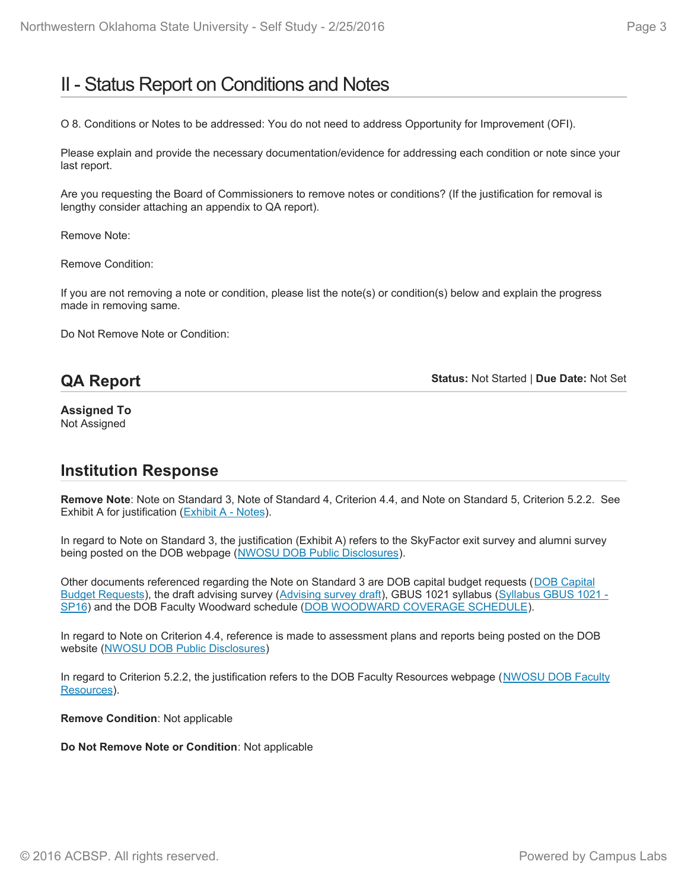## II - Status Report on Conditions and Notes

O 8. Conditions or Notes to be addressed: You do not need to address Opportunity for Improvement (OFI).

Please explain and provide the necessary documentation/evidence for addressing each condition or note since your last report.

Are you requesting the Board of Commissioners to remove notes or conditions? (If the justification for removal is lengthy consider attaching an appendix to QA report).

Remove Note:

Remove Condition:

If you are not removing a note or condition, please list the note(s) or condition(s) below and explain the progress made in removing same.

Do Not Remove Note or Condition:

## **QA Report**

**Status:** Not Started | **Due Date:** Not Set

**Assigned To** Not Assigned

## **Institution Response**

**Remove Note**: Note on Standard 3, Note of Standard 4, Criterion 4.4, and Note on Standard 5, Criterion 5.2.2. See Exhibit A for justification (Exhibit A - Notes).

In regard to Note on Standard 3, the justification (Exhibit A) refers to the SkyFactor exit survey and alumni survey being posted on the DOB webpage (NWOSU DOB Public Disclosures).

Other documents referenced regarding the Note on Standard 3 are DOB capital budget requests (DOB Capital Budget Requests), the draft advising survey (Advising survey draft), GBUS 1021 syllabus (Syllabus GBUS 1021 -SP16) and the DOB Faculty Woodward schedule (DOB WOODWARD COVERAGE SCHEDULE).

In regard to Note on Criterion 4.4, reference is made to assessment plans and reports being posted on the DOB website (NWOSU DOB Public Disclosures)

In regard to Criterion 5.2.2, the justification refers to the DOB Faculty Resources webpage (NWOSU DOB Faculty Resources).

**Remove Condition**: Not applicable

**Do Not Remove Note or Condition**: Not applicable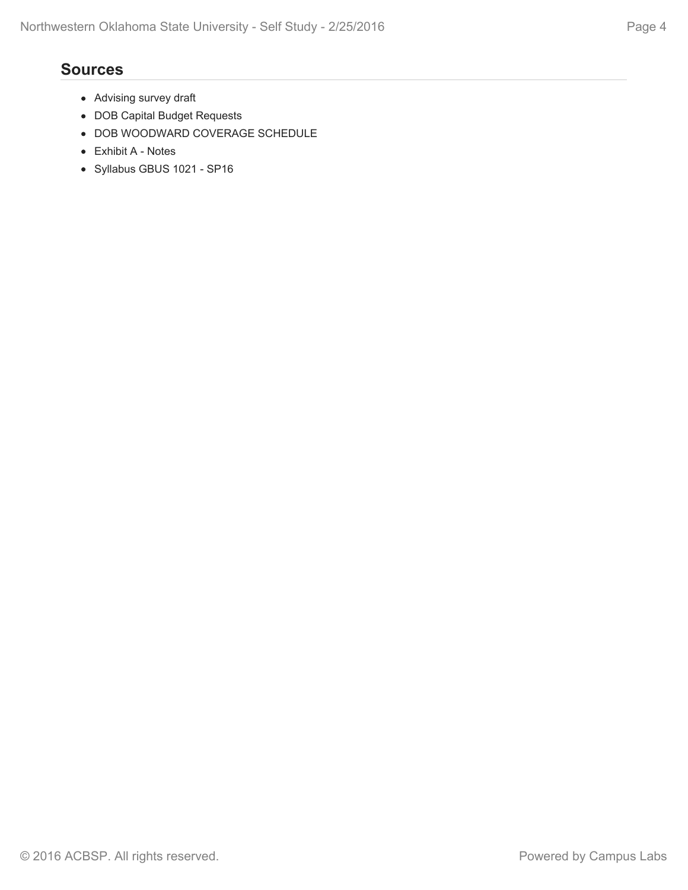## **Sources**

- Advising survey draft
- DOB Capital Budget Requests
- DOB WOODWARD COVERAGE SCHEDULE
- Exhibit A Notes
- Syllabus GBUS 1021 SP16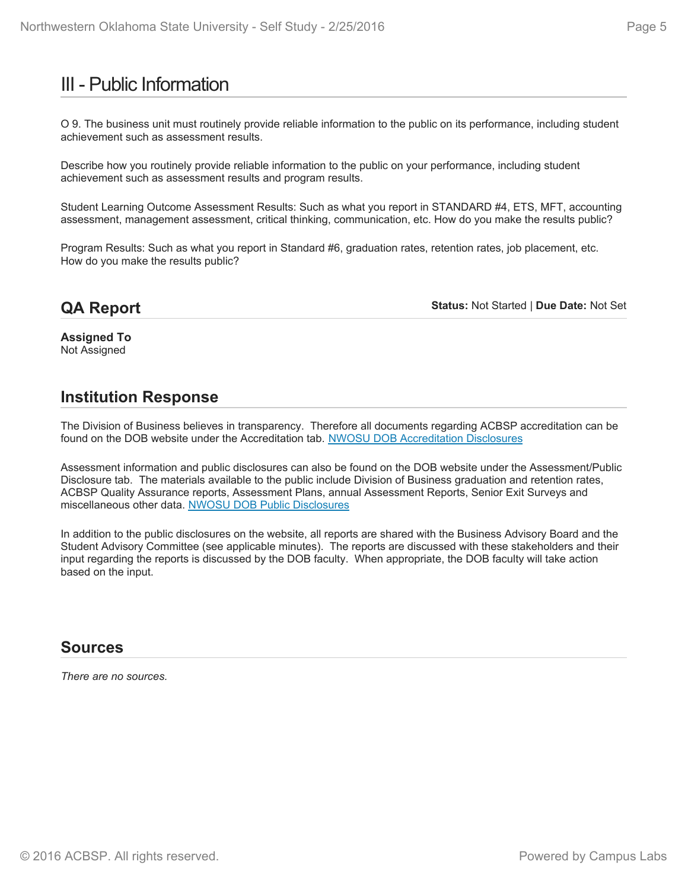## III - Public Information

O 9. The business unit must routinely provide reliable information to the public on its performance, including student achievement such as assessment results.

Describe how you routinely provide reliable information to the public on your performance, including student achievement such as assessment results and program results.

Student Learning Outcome Assessment Results: Such as what you report in STANDARD #4, ETS, MFT, accounting assessment, management assessment, critical thinking, communication, etc. How do you make the results public?

Program Results: Such as what you report in Standard #6, graduation rates, retention rates, job placement, etc. How do you make the results public?

## **QA Report**

**Status:** Not Started | **Due Date:** Not Set

**Assigned To** Not Assigned

## **Institution Response**

The Division of Business believes in transparency. Therefore all documents regarding ACBSP accreditation can be found on the DOB website under the Accreditation tab. NWOSU DOB Accreditation Disclosures

Assessment information and public disclosures can also be found on the DOB website under the Assessment/Public Disclosure tab. The materials available to the public include Division of Business graduation and retention rates, ACBSP Quality Assurance reports, Assessment Plans, annual Assessment Reports, Senior Exit Surveys and miscellaneous other data. NWOSU DOB Public Disclosures

In addition to the public disclosures on the website, all reports are shared with the Business Advisory Board and the Student Advisory Committee (see applicable minutes). The reports are discussed with these stakeholders and their input regarding the reports is discussed by the DOB faculty. When appropriate, the DOB faculty will take action based on the input.

## **Sources**

*There are no sources.*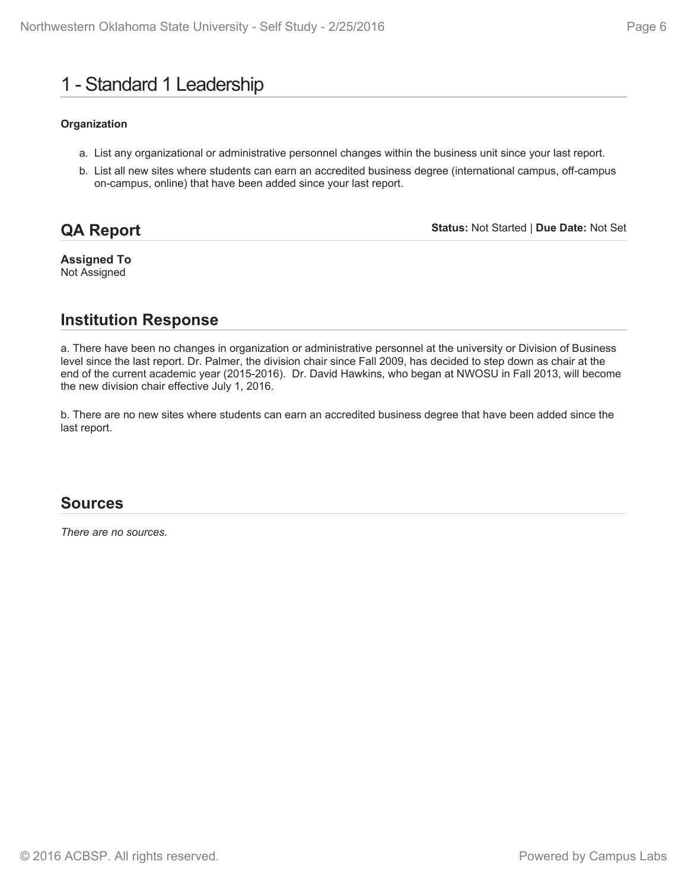## 1 - Standard 1 Leadership

#### **Organization**

- a. List any organizational or administrative personnel changes within the business unit since your last report.
- b. List all new sites where students can earn an accredited business degree (international campus, off-campus on-campus, online) that have been added since your last report.

## **QA Report**

**Status:** Not Started | **Due Date:** Not Set

**Assigned To** Not Assigned

## **Institution Response**

a. There have been no changes in organization or administrative personnel at the university or Division of Business level since the last report. Dr. Palmer, the division chair since Fall 2009, has decided to step down as chair at the end of the current academic year (2015-2016). Dr. David Hawkins, who began at NWOSU in Fall 2013, will become the new division chair effective July 1, 2016.

b. There are no new sites where students can earn an accredited business degree that have been added since the last report.

### **Sources**

*There are no sources.*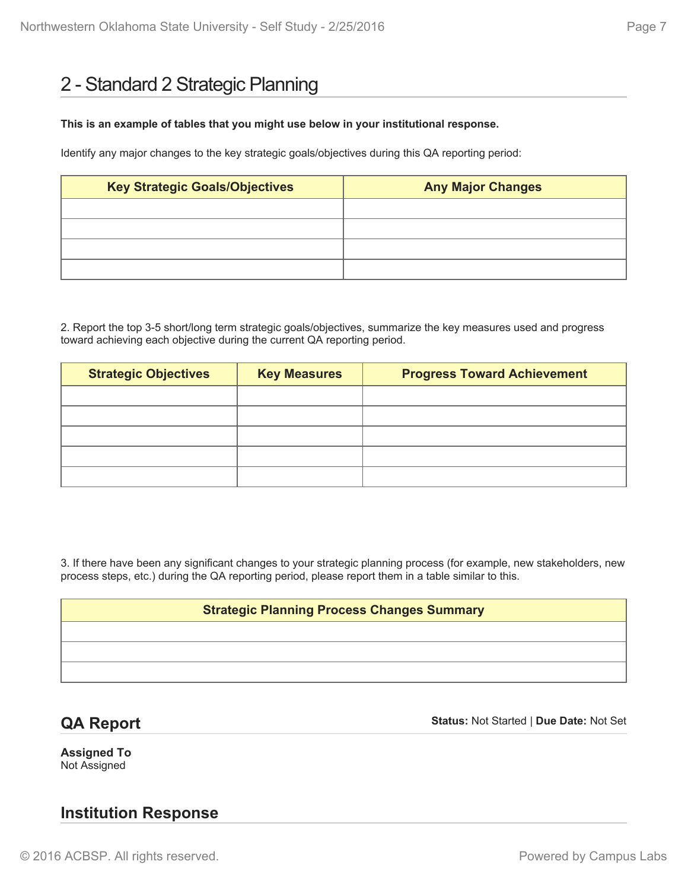## 2 - Standard 2 Strategic Planning

#### **This is an example of tables that you might use below in your institutional response.**

Identify any major changes to the key strategic goals/objectives during this QA reporting period:

| <b>Key Strategic Goals/Objectives</b> | <b>Any Major Changes</b> |  |  |
|---------------------------------------|--------------------------|--|--|
|                                       |                          |  |  |
|                                       |                          |  |  |
|                                       |                          |  |  |
|                                       |                          |  |  |

2. Report the top 3-5 short/long term strategic goals/objectives, summarize the key measures used and progress toward achieving each objective during the current QA reporting period.

| <b>Strategic Objectives</b> | <b>Key Measures</b> | <b>Progress Toward Achievement</b> |  |
|-----------------------------|---------------------|------------------------------------|--|
|                             |                     |                                    |  |
|                             |                     |                                    |  |
|                             |                     |                                    |  |
|                             |                     |                                    |  |
|                             |                     |                                    |  |

3. If there have been any significant changes to your strategic planning process (for example, new stakeholders, new process steps, etc.) during the QA reporting period, please report them in a table similar to this.

#### **Strategic Planning Process Changes Summary**

## **QA Report**

**Status:** Not Started | **Due Date:** Not Set

**Assigned To** Not Assigned

## **Institution Response**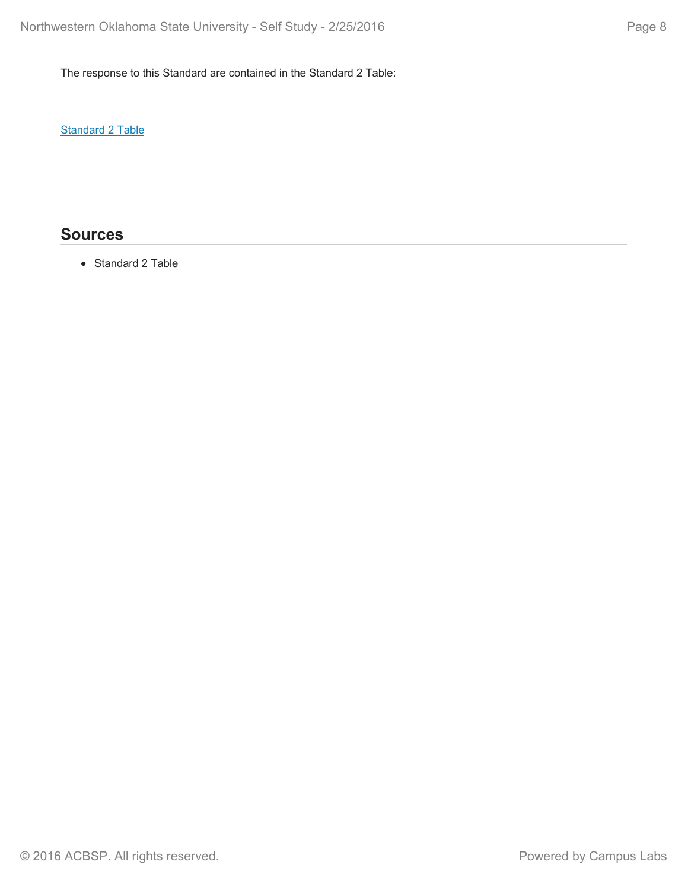The response to this Standard are contained in the Standard 2 Table:

**Standard 2 Table** 

## **Sources**

• Standard 2 Table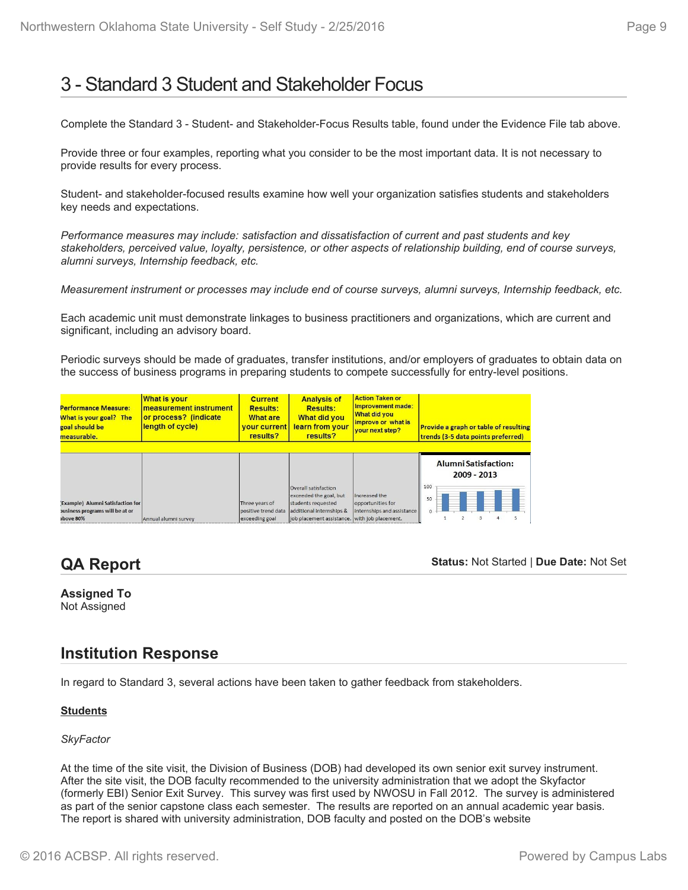## 3 - Standard 3 Student and Stakeholder Focus

Complete the Standard 3 - Student- and Stakeholder-Focus Results table, found under the Evidence File tab above.

Provide three or four examples, reporting what you consider to be the most important data. It is not necessary to provide results for every process.

Student- and stakeholder-focused results examine how well your organization satisfies students and stakeholders key needs and expectations.

*Performance measures may include: satisfaction and dissatisfaction of current and past students and key stakeholders, perceived value, loyalty, persistence, or other aspects of relationship building, end of course surveys, alumni surveys, Internship feedback, etc.*

*Measurement instrument or processes may include end of course surveys, alumni surveys, Internship feedback, etc.*

Each academic unit must demonstrate linkages to business practitioners and organizations, which are current and significant, including an advisory board.

Periodic surveys should be made of graduates, transfer institutions, and/or employers of graduates to obtain data on the success of business programs in preparing students to compete successfully for entry-level positions.

| <b>Performance Measure:</b><br>What is your goal? The<br>goal should be<br>measurable. | <b>What is your</b><br>measurement instrument<br>or process? (indicate<br>length of cycle) | <b>Current</b><br><b>Results:</b><br><b>What are</b><br><b>vour current</b><br>results? | <b>Analysis of</b><br><b>Results:</b><br><b>What did you</b><br>learn from your<br>results? | <b>Action Taken or</b><br>Improvement made:<br><b>What did you</b><br>improve or what is<br>vour next step? | <b>Provide a graph or table of resulting</b><br>trends (3-5 data points preferred) |
|----------------------------------------------------------------------------------------|--------------------------------------------------------------------------------------------|-----------------------------------------------------------------------------------------|---------------------------------------------------------------------------------------------|-------------------------------------------------------------------------------------------------------------|------------------------------------------------------------------------------------|
| <b>Example) Alumni Satisfaction for</b>                                                |                                                                                            | Three years of                                                                          | Overall satisfaction<br>exceeded the goal, but<br>students requested                        | Increased the<br>opportunities for                                                                          | <b>Alumni Satisfaction:</b><br>2009 - 2013<br>100<br>50                            |
| pusiness programs will be at or                                                        |                                                                                            | positive trend data                                                                     | additional internships &                                                                    | internships and assistance                                                                                  |                                                                                    |
| hove 80%                                                                               | Annual alumni survey                                                                       | exceeding goal                                                                          | job placement assistance. with job placement.                                               |                                                                                                             |                                                                                    |

## **QA Report**

**Status:** Not Started | **Due Date:** Not Set

# **Assigned To**

Not Assigned

## **Institution Response**

In regard to Standard 3, several actions have been taken to gather feedback from stakeholders.

#### **Students**

#### *SkyFactor*

At the time of the site visit, the Division of Business (DOB) had developed its own senior exit survey instrument. After the site visit, the DOB faculty recommended to the university administration that we adopt the Skyfactor (formerly EBI) Senior Exit Survey. This survey was first used by NWOSU in Fall 2012. The survey is administered as part of the senior capstone class each semester. The results are reported on an annual academic year basis. The report is shared with university administration, DOB faculty and posted on the DOB's website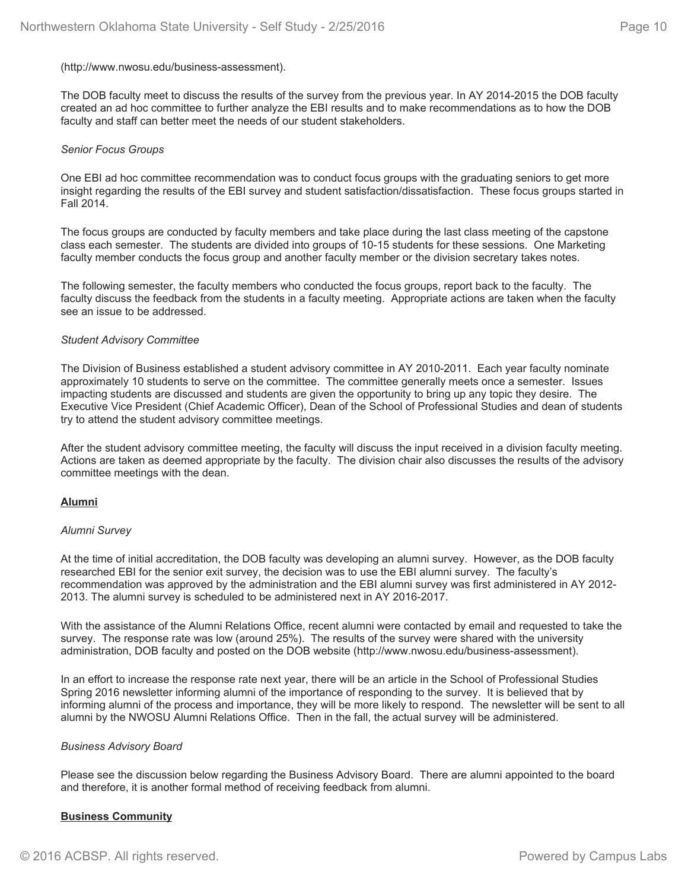#### (http://www.nwosu.edu/business-assessment).

The DOB faculty meet to discuss the results of the survey from the previous year. In AY 2014-2015 the DOB faculty created an ad hoc committee to further analyze the EBI results and to make recommendations as to how the DOB faculty and staff can better meet the needs of our student stakeholders.

#### *Senior Focus Groups*

One EBI ad hoc committee recommendation was to conduct focus groups with the graduating seniors to get more insight regarding the results of the EBI survey and student satisfaction/dissatisfaction. These focus groups started in Fall 2014.

The focus groups are conducted by faculty members and take place during the last class meeting of the capstone class each semester. The students are divided into groups of 10-15 students for these sessions. One Marketing faculty member conducts the focus group and another faculty member or the division secretary takes notes.

The following semester, the faculty members who conducted the focus groups, report back to the faculty. The faculty discuss the feedback from the students in a faculty meeting. Appropriate actions are taken when the faculty see an issue to be addressed.

#### *Student Advisory Committee*

The Division of Business established a student advisory committee in AY 2010-2011. Each year faculty nominate approximately 10 students to serve on the committee. The committee generally meets once a semester. Issues impacting students are discussed and students are given the opportunity to bring up any topic they desire. The Executive Vice President (Chief Academic Officer), Dean of the School of Professional Studies and dean of students try to attend the student advisory committee meetings.

After the student advisory committee meeting, the faculty will discuss the input received in a division faculty meeting. Actions are taken as deemed appropriate by the faculty. The division chair also discusses the results of the advisory committee meetings with the dean.

#### **Alumni**

#### *Alumni Survey*

At the time of initial accreditation, the DOB faculty was developing an alumni survey. However, as the DOB faculty researched EBI for the senior exit survey, the decision was to use the EBI alumni survey. The faculty's recommendation was approved by the administration and the EBI alumni survey was first administered in AY 2012- 2013. The alumni survey is scheduled to be administered next in AY 2016-2017.

With the assistance of the Alumni Relations Office, recent alumni were contacted by email and requested to take the survey. The response rate was low (around 25%). The results of the survey were shared with the university administration, DOB faculty and posted on the DOB website (http://www.nwosu.edu/business-assessment).

In an effort to increase the response rate next year, there will be an article in the School of Professional Studies Spring 2016 newsletter informing alumni of the importance of responding to the survey. It is believed that by informing alumni of the process and importance, they will be more likely to respond. The newsletter will be sent to all alumni by the NWOSU Alumni Relations Office. Then in the fall, the actual survey will be administered.

#### *Business Advisory Board*

Please see the discussion below regarding the Business Advisory Board. There are alumni appointed to the board and therefore, it is another formal method of receiving feedback from alumni.

#### **Business Community**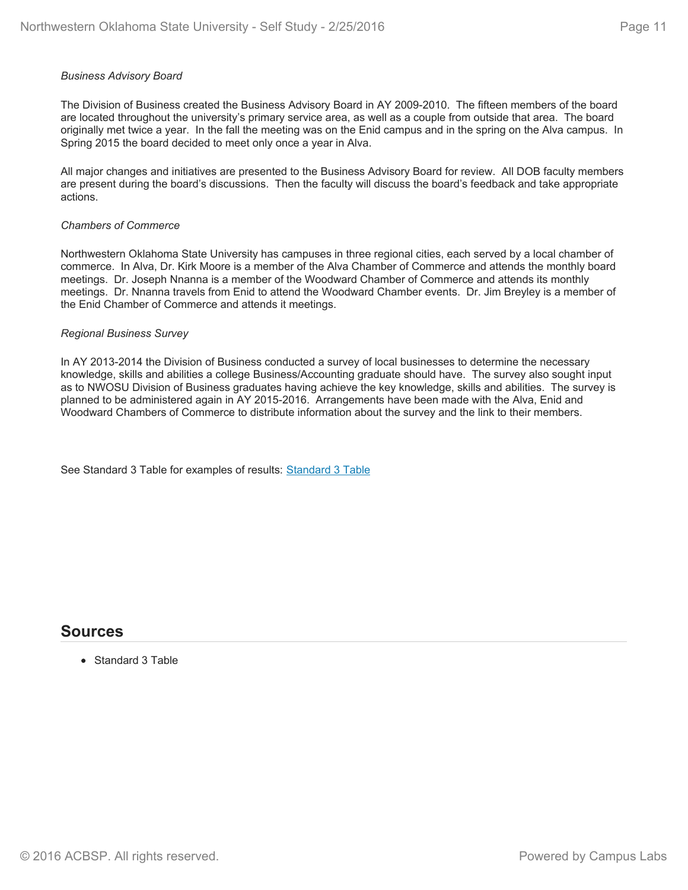### *Business Advisory Board*

The Division of Business created the Business Advisory Board in AY 2009-2010. The fifteen members of the board are located throughout the university's primary service area, as well as a couple from outside that area. The board originally met twice a year. In the fall the meeting was on the Enid campus and in the spring on the Alva campus. In Spring 2015 the board decided to meet only once a year in Alva.

All major changes and initiatives are presented to the Business Advisory Board for review. All DOB faculty members are present during the board's discussions. Then the faculty will discuss the board's feedback and take appropriate actions.

### *Chambers of Commerce*

Northwestern Oklahoma State University has campuses in three regional cities, each served by a local chamber of commerce. In Alva, Dr. Kirk Moore is a member of the Alva Chamber of Commerce and attends the monthly board meetings. Dr. Joseph Nnanna is a member of the Woodward Chamber of Commerce and attends its monthly meetings. Dr. Nnanna travels from Enid to attend the Woodward Chamber events. Dr. Jim Breyley is a member of the Enid Chamber of Commerce and attends it meetings.

#### *Regional Business Survey*

In AY 2013-2014 the Division of Business conducted a survey of local businesses to determine the necessary knowledge, skills and abilities a college Business/Accounting graduate should have. The survey also sought input as to NWOSU Division of Business graduates having achieve the key knowledge, skills and abilities. The survey is planned to be administered again in AY 2015-2016. Arrangements have been made with the Alva, Enid and Woodward Chambers of Commerce to distribute information about the survey and the link to their members.

See Standard 3 Table for examples of results: Standard 3 Table

## **Sources**

• Standard 3 Table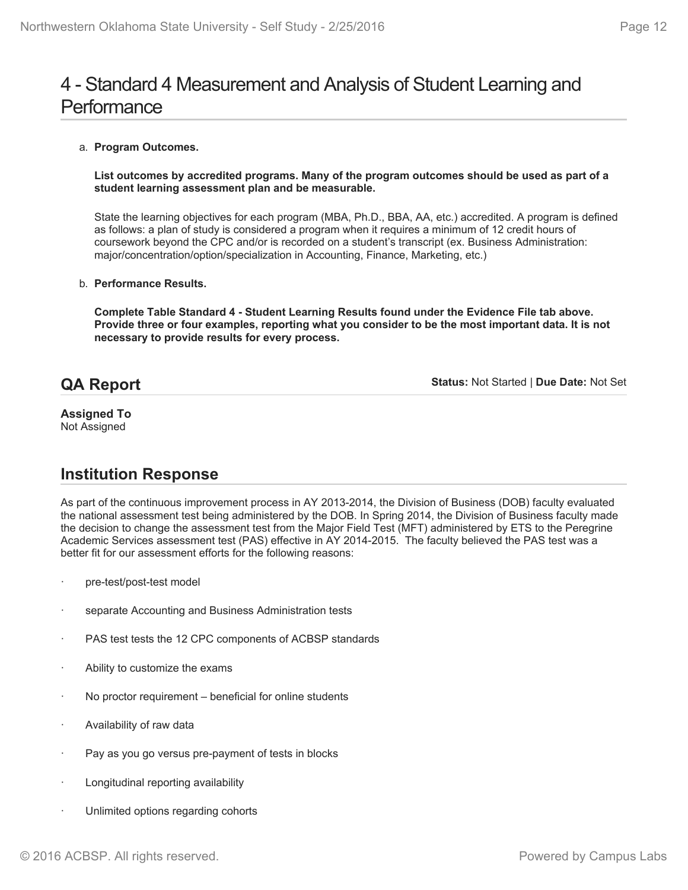## 4 - Standard 4 Measurement and Analysis of Student Learning and **Performance**

#### a. **Program Outcomes.**

**List outcomes by accredited programs. Many of the program outcomes should be used as part of a student learning assessment plan and be measurable.**

State the learning objectives for each program (MBA, Ph.D., BBA, AA, etc.) accredited. A program is defined as follows: a plan of study is considered a program when it requires a minimum of 12 credit hours of coursework beyond the CPC and/or is recorded on a student's transcript (ex. Business Administration: major/concentration/option/specialization in Accounting, Finance, Marketing, etc.)

#### b. **Performance Results.**

**Complete Table Standard 4 - Student Learning Results found under the Evidence File tab above. Provide three or four examples, reporting what you consider to be the most important data. It is not necessary to provide results for every process.**

## **QA Report**

**Status:** Not Started | **Due Date:** Not Set

#### **Assigned To** Not Assigned

## **Institution Response**

As part of the continuous improvement process in AY 2013-2014, the Division of Business (DOB) faculty evaluated the national assessment test being administered by the DOB. In Spring 2014, the Division of Business faculty made the decision to change the assessment test from the Major Field Test (MFT) administered by ETS to the Peregrine Academic Services assessment test (PAS) effective in AY 2014-2015. The faculty believed the PAS test was a better fit for our assessment efforts for the following reasons:

- pre-test/post-test model
- separate Accounting and Business Administration tests
- PAS test tests the 12 CPC components of ACBSP standards
- Ability to customize the exams
- No proctor requirement beneficial for online students
- Availability of raw data
- Pay as you go versus pre-payment of tests in blocks
- Longitudinal reporting availability
- Unlimited options regarding cohorts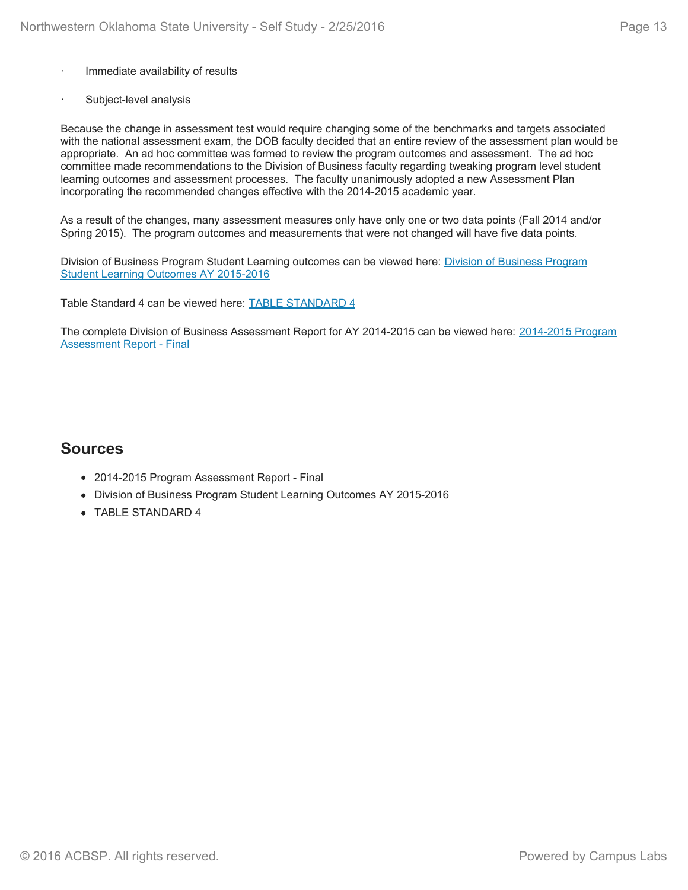- Immediate availability of results
- Subject-level analysis

Because the change in assessment test would require changing some of the benchmarks and targets associated with the national assessment exam, the DOB faculty decided that an entire review of the assessment plan would be appropriate. An ad hoc committee was formed to review the program outcomes and assessment. The ad hoc committee made recommendations to the Division of Business faculty regarding tweaking program level student learning outcomes and assessment processes. The faculty unanimously adopted a new Assessment Plan incorporating the recommended changes effective with the 2014-2015 academic year.

As a result of the changes, many assessment measures only have only one or two data points (Fall 2014 and/or Spring 2015). The program outcomes and measurements that were not changed will have five data points.

Division of Business Program Student Learning outcomes can be viewed here: Division of Business Program Student Learning Outcomes AY 2015-2016

Table Standard 4 can be viewed here: TABLE STANDARD 4

The complete Division of Business Assessment Report for AY 2014-2015 can be viewed here: 2014-2015 Program Assessment Report - Final

### **Sources**

- 2014-2015 Program Assessment Report Final
- Division of Business Program Student Learning Outcomes AY 2015-2016
- TABLE STANDARD 4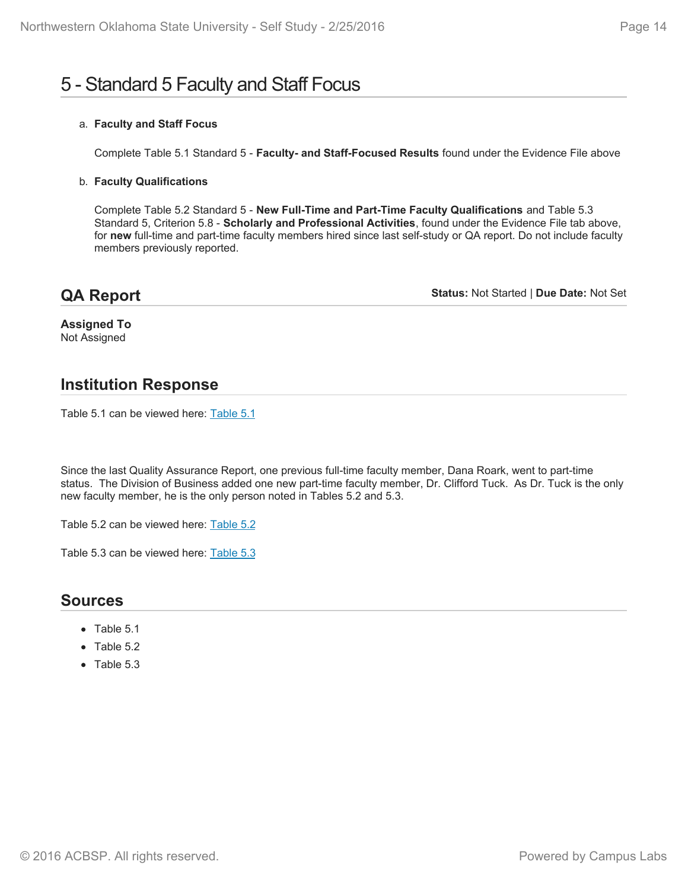# 5 - Standard 5 Faculty and Staff Focus

### a. **Faculty and Staff Focus**

Complete Table 5.1 Standard 5 - **Faculty- and Staff-Focused Results** found under the Evidence File above

### b. **Faculty Qualifications**

Complete Table 5.2 Standard 5 - **New Full-Time and Part-Time Faculty Qualifications** and Table 5.3 Standard 5, Criterion 5.8 - **Scholarly and Professional Activities**, found under the Evidence File tab above, for **new** full-time and part-time faculty members hired since last self-study or QA report. Do not include faculty members previously reported.

## **QA Report**

**Status:** Not Started | **Due Date:** Not Set

**Assigned To** Not Assigned

## **Institution Response**

Table 5.1 can be viewed here: Table 5.1

Since the last Quality Assurance Report, one previous full-time faculty member, Dana Roark, went to part-time status. The Division of Business added one new part-time faculty member, Dr. Clifford Tuck. As Dr. Tuck is the only new faculty member, he is the only person noted in Tables 5.2 and 5.3.

Table 5.2 can be viewed here: Table 5.2

Table 5.3 can be viewed here: Table 5.3

### **Sources**

- Table 5.1
- Table 5.2
- Table 5.3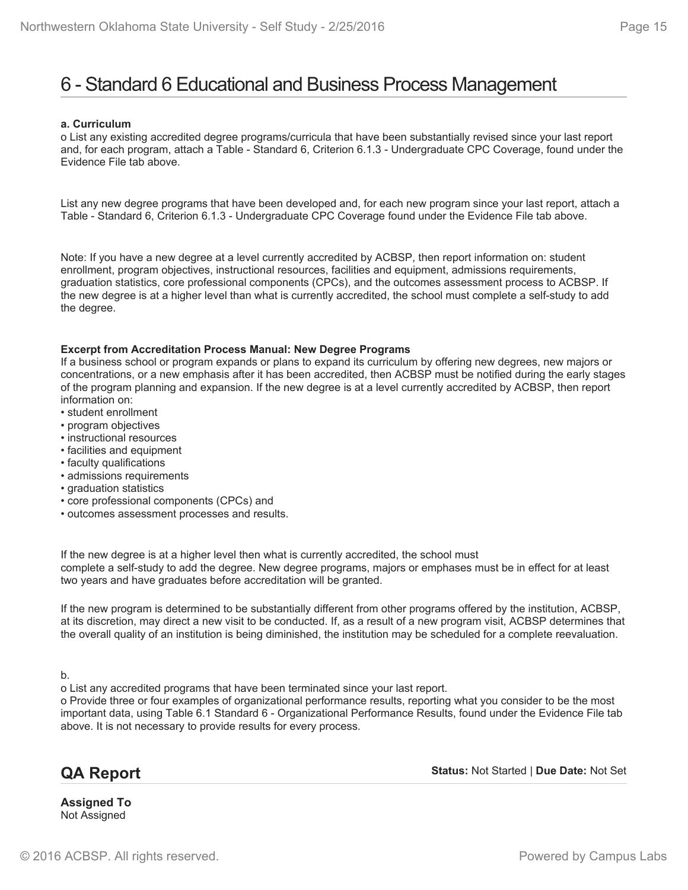## 6 - Standard 6 Educational and Business Process Management

#### **a. Curriculum**

o List any existing accredited degree programs/curricula that have been substantially revised since your last report and, for each program, attach a Table - Standard 6, Criterion 6.1.3 - Undergraduate CPC Coverage, found under the Evidence File tab above.

List any new degree programs that have been developed and, for each new program since your last report, attach a Table - Standard 6, Criterion 6.1.3 - Undergraduate CPC Coverage found under the Evidence File tab above.

Note: If you have a new degree at a level currently accredited by ACBSP, then report information on: student enrollment, program objectives, instructional resources, facilities and equipment, admissions requirements, graduation statistics, core professional components (CPCs), and the outcomes assessment process to ACBSP. If the new degree is at a higher level than what is currently accredited, the school must complete a self-study to add the degree.

#### **Excerpt from Accreditation Process Manual: New Degree Programs**

If a business school or program expands or plans to expand its curriculum by offering new degrees, new majors or concentrations, or a new emphasis after it has been accredited, then ACBSP must be notified during the early stages of the program planning and expansion. If the new degree is at a level currently accredited by ACBSP, then report information on:

- student enrollment
- program objectives
- instructional resources
- facilities and equipment
- faculty qualifications
- admissions requirements
- graduation statistics
- core professional components (CPCs) and
- outcomes assessment processes and results.

If the new degree is at a higher level then what is currently accredited, the school must complete a self-study to add the degree. New degree programs, majors or emphases must be in effect for at least two years and have graduates before accreditation will be granted.

If the new program is determined to be substantially different from other programs offered by the institution, ACBSP, at its discretion, may direct a new visit to be conducted. If, as a result of a new program visit, ACBSP determines that the overall quality of an institution is being diminished, the institution may be scheduled for a complete reevaluation.

b.

o List any accredited programs that have been terminated since your last report.

o Provide three or four examples of organizational performance results, reporting what you consider to be the most important data, using Table 6.1 Standard 6 - Organizational Performance Results, found under the Evidence File tab above. It is not necessary to provide results for every process.

## **QA Report**

**Status:** Not Started | **Due Date:** Not Set

**Assigned To** Not Assigned